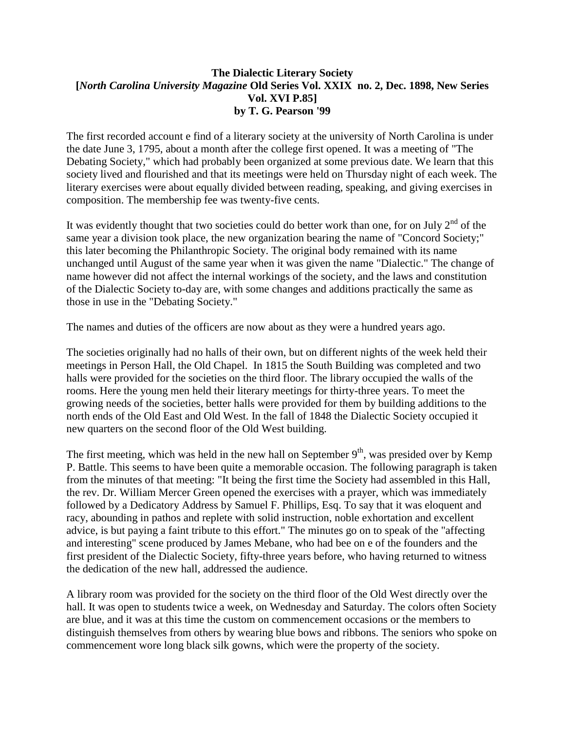## **The Dialectic Literary Society [***North Carolina University Magazine* **Old Series Vol. XXIX no. 2, Dec. 1898, New Series Vol. XVI P.85] by T. G. Pearson '99**

The first recorded account e find of a literary society at the university of North Carolina is under the date June 3, 1795, about a month after the college first opened. It was a meeting of "The Debating Society," which had probably been organized at some previous date. We learn that this society lived and flourished and that its meetings were held on Thursday night of each week. The literary exercises were about equally divided between reading, speaking, and giving exercises in composition. The membership fee was twenty-five cents.

It was evidently thought that two societies could do better work than one, for on July  $2<sup>nd</sup>$  of the same year a division took place, the new organization bearing the name of "Concord Society;" this later becoming the Philanthropic Society. The original body remained with its name unchanged until August of the same year when it was given the name "Dialectic." The change of name however did not affect the internal workings of the society, and the laws and constitution of the Dialectic Society to-day are, with some changes and additions practically the same as those in use in the "Debating Society."

The names and duties of the officers are now about as they were a hundred years ago.

The societies originally had no halls of their own, but on different nights of the week held their meetings in Person Hall, the Old Chapel. In 1815 the South Building was completed and two halls were provided for the societies on the third floor. The library occupied the walls of the rooms. Here the young men held their literary meetings for thirty-three years. To meet the growing needs of the societies, better halls were provided for them by building additions to the north ends of the Old East and Old West. In the fall of 1848 the Dialectic Society occupied it new quarters on the second floor of the Old West building.

The first meeting, which was held in the new hall on September  $9<sup>th</sup>$ , was presided over by Kemp P. Battle. This seems to have been quite a memorable occasion. The following paragraph is taken from the minutes of that meeting: "It being the first time the Society had assembled in this Hall, the rev. Dr. William Mercer Green opened the exercises with a prayer, which was immediately followed by a Dedicatory Address by Samuel F. Phillips, Esq. To say that it was eloquent and racy, abounding in pathos and replete with solid instruction, noble exhortation and excellent advice, is but paying a faint tribute to this effort." The minutes go on to speak of the "affecting and interesting" scene produced by James Mebane, who had bee on e of the founders and the first president of the Dialectic Society, fifty-three years before, who having returned to witness the dedication of the new hall, addressed the audience.

A library room was provided for the society on the third floor of the Old West directly over the hall. It was open to students twice a week, on Wednesday and Saturday. The colors often Society are blue, and it was at this time the custom on commencement occasions or the members to distinguish themselves from others by wearing blue bows and ribbons. The seniors who spoke on commencement wore long black silk gowns, which were the property of the society.